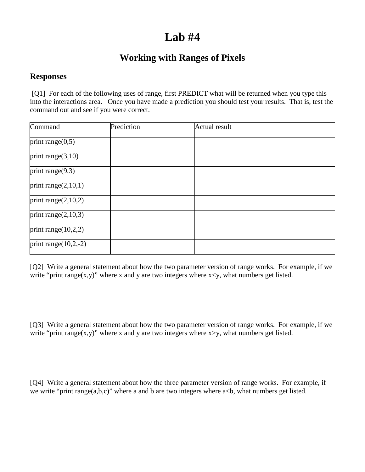## **Lab #4**

## **Working with Ranges of Pixels**

## **Responses**

[Q1] For each of the following uses of range, first PREDICT what will be returned when you type this into the interactions area. Once you have made a prediction you should test your results. That is, test the command out and see if you were correct.

| Command                 | Prediction | <b>Actual result</b> |  |
|-------------------------|------------|----------------------|--|
| print range $(0,5)$     |            |                      |  |
| print range $(3,10)$    |            |                      |  |
| print range $(9,3)$     |            |                      |  |
| print range $(2,10,1)$  |            |                      |  |
| print range $(2,10,2)$  |            |                      |  |
| print range $(2,10,3)$  |            |                      |  |
| print range $(10,2,2)$  |            |                      |  |
| print range $(10,2,-2)$ |            |                      |  |

[Q2] Write a general statement about how the two parameter version of range works. For example, if we write "print range(x,y)" where x and y are two integers where  $x \le y$ , what numbers get listed.

[Q3] Write a general statement about how the two parameter version of range works. For example, if we write "print range(x,y)" where x and y are two integers where  $x>y$ , what numbers get listed.

[Q4] Write a general statement about how the three parameter version of range works. For example, if we write "print range $(a,b,c)$ " where a and b are two integers where  $a < b$ , what numbers get listed.